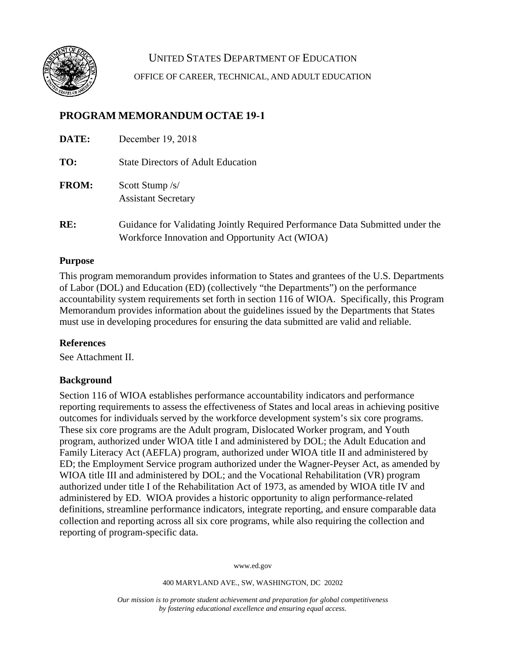

UNITED STATES DEPARTMENT OF EDUCATION OFFICE OF CAREER, TECHNICAL, AND ADULT EDUCATION

# **PROGRAM MEMORANDUM OCTAE 19-1**

| DATE:        | December 19, 2018                                                                                                                |
|--------------|----------------------------------------------------------------------------------------------------------------------------------|
| TO:          | <b>State Directors of Adult Education</b>                                                                                        |
| <b>FROM:</b> | Scott Stump /s/<br><b>Assistant Secretary</b>                                                                                    |
| RE:          | Guidance for Validating Jointly Required Performance Data Submitted under the<br>Workforce Innovation and Opportunity Act (WIOA) |

### **Purpose**

This program memorandum provides information to States and grantees of the U.S. Departments of Labor (DOL) and Education (ED) (collectively "the Departments") on the performance accountability system requirements set forth in section 116 of WIOA. Specifically, this Program Memorandum provides information about the guidelines issued by the Departments that States must use in developing procedures for ensuring the data submitted are valid and reliable.

### **References**

See Attachment II.

### **Background**

Section 116 of WIOA establishes performance accountability indicators and performance reporting requirements to assess the effectiveness of States and local areas in achieving positive outcomes for individuals served by the workforce development system's six core programs. These six core programs are the Adult program, Dislocated Worker program, and Youth program, authorized under WIOA title I and administered by DOL; the Adult Education and Family Literacy Act (AEFLA) program, authorized under WIOA title II and administered by ED; the Employment Service program authorized under the Wagner-Peyser Act, as amended by WIOA title III and administered by DOL; and the Vocational Rehabilitation (VR) program authorized under title I of the Rehabilitation Act of 1973, as amended by WIOA title IV and administered by ED. WIOA provides a historic opportunity to align performance-related definitions, streamline performance indicators, integrate reporting, and ensure comparable data collection and reporting across all six core programs, while also requiring the collection and reporting of program-specific data.

www.ed.gov

400 MARYLAND AVE., SW, WASHINGTON, DC 20202

*Our mission is to promote student achievement and preparation for global competitiveness by fostering educational excellence and ensuring equal access.*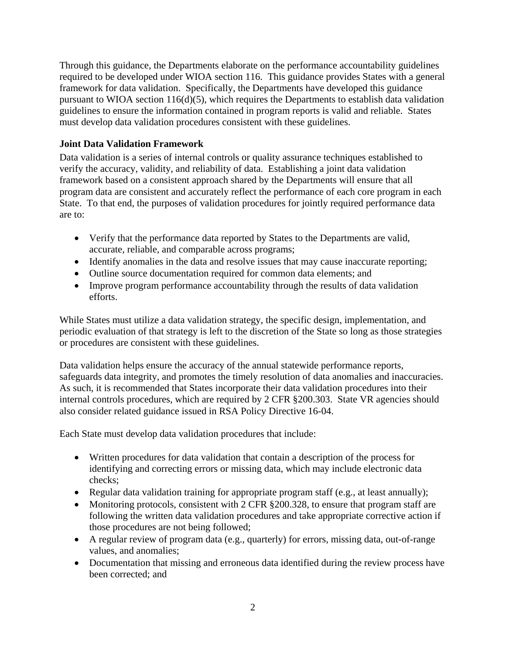Through this guidance, the Departments elaborate on the performance accountability guidelines required to be developed under WIOA section 116. This guidance provides States with a general framework for data validation. Specifically, the Departments have developed this guidance pursuant to WIOA section 116(d)(5), which requires the Departments to establish data validation guidelines to ensure the information contained in program reports is valid and reliable. States must develop data validation procedures consistent with these guidelines.

## **Joint Data Validation Framework**

Data validation is a series of internal controls or quality assurance techniques established to verify the accuracy, validity, and reliability of data. Establishing a joint data validation framework based on a consistent approach shared by the Departments will ensure that all program data are consistent and accurately reflect the performance of each core program in each State. To that end, the purposes of validation procedures for jointly required performance data are to:

- Verify that the performance data reported by States to the Departments are valid, accurate, reliable, and comparable across programs;
- Identify anomalies in the data and resolve issues that may cause inaccurate reporting;
- Outline source documentation required for common data elements; and
- Improve program performance accountability through the results of data validation efforts.

While States must utilize a data validation strategy, the specific design, implementation, and periodic evaluation of that strategy is left to the discretion of the State so long as those strategies or procedures are consistent with these guidelines.

Data validation helps ensure the accuracy of the annual statewide performance reports, safeguards data integrity, and promotes the timely resolution of data anomalies and inaccuracies. As such, it is recommended that States incorporate their data validation procedures into their internal controls procedures, which are required by 2 CFR §200.303. State VR agencies should also consider related guidance issued in RSA Policy Directive 16-04.

Each State must develop data validation procedures that include:

- Written procedures for data validation that contain a description of the process for identifying and correcting errors or missing data, which may include electronic data checks;
- Regular data validation training for appropriate program staff (e.g., at least annually);
- Monitoring protocols, consistent with 2 CFR §200.328, to ensure that program staff are following the written data validation procedures and take appropriate corrective action if those procedures are not being followed;
- A regular review of program data (e.g., quarterly) for errors, missing data, out-of-range values, and anomalies;
- Documentation that missing and erroneous data identified during the review process have been corrected; and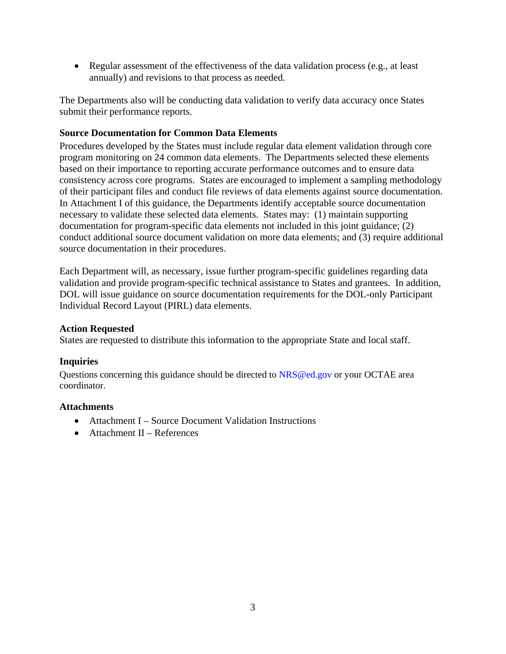• Regular assessment of the effectiveness of the data validation process (e.g., at least annually) and revisions to that process as needed.

The Departments also will be conducting data validation to verify data accuracy once States submit their performance reports.

### **Source Documentation for Common Data Elements**

Procedures developed by the States must include regular data element validation through core program monitoring on 24 common data elements. The Departments selected these elements based on their importance to reporting accurate performance outcomes and to ensure data consistency across core programs. States are encouraged to implement a sampling methodology of their participant files and conduct file reviews of data elements against source documentation. In Attachment I of this guidance, the Departments identify acceptable source documentation necessary to validate these selected data elements. States may: (1) maintain supporting documentation for program-specific data elements not included in this joint guidance; (2) conduct additional source document validation on more data elements; and (3) require additional source documentation in their procedures.

Each Department will, as necessary, issue further program-specific guidelines regarding data validation and provide program-specific technical assistance to States and grantees. In addition, DOL will issue guidance on source documentation requirements for the DOL-only Participant Individual Record Layout (PIRL) data elements.

### **Action Requested**

States are requested to distribute this information to the appropriate State and local staff.

### **Inquiries**

Questions concerning this guidance should be directed to NRS@ed.gov or your OCTAE area coordinator.

### **Attachments**

- Attachment I Source Document Validation Instructions
- Attachment II References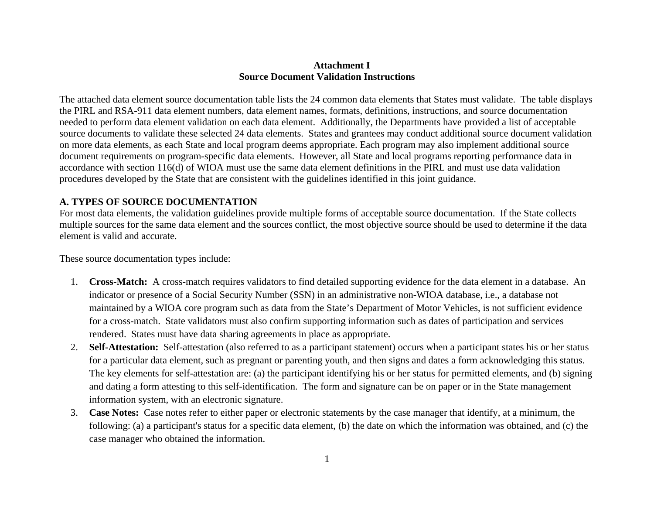### **Attachment I Source Document Validation Instructions**

The attached data element source documentation table lists the 24 common data elements that States must validate. The table displays the PIRL and RSA-911 data element numbers, data element names, formats, definitions, instructions, and source documentation needed to perform data element validation on each data element. Additionally, the Departments have provided a list of acceptable source documents to validate these selected 24 data elements. States and grantees may conduct additional source document validation on more data elements, as each State and local program deems appropriate. Each program may also implement additional source document requirements on program-specific data elements. However, all State and local programs reporting performance data in accordance with section 116(d) of WIOA must use the same data element definitions in the PIRL and must use data validation procedures developed by the State that are consistent with the guidelines identified in this joint guidance.

### **A. TYPES OF SOURCE DOCUMENTATION**

For most data elements, the validation guidelines provide multiple forms of acceptable source documentation. If the State collects multiple sources for the same data element and the sources conflict, the most objective source should be used to determine if the data element is valid and accurate.

These source documentation types include:

- 1. **Cross-Match:** A cross-match requires validators to find detailed supporting evidence for the data element in a database. An indicator or presence of a Social Security Number (SSN) in an administrative non-WIOA database, i.e., a database not maintained by a WIOA core program such as data from the State's Department of Motor Vehicles, is not sufficient evidence for a cross-match. State validators must also confirm supporting information such as dates of participation and services rendered. States must have data sharing agreements in place as appropriate.
- 2. **Self-Attestation:** Self-attestation (also referred to as a participant statement) occurs when a participant states his or her status for a particular data element, such as pregnant or parenting youth, and then signs and dates a form acknowledging this status. The key elements for self-attestation are: (a) the participant identifying his or her status for permitted elements, and (b) signing and dating a form attesting to this self-identification. The form and signature can be on paper or in the State management information system, with an electronic signature.
- 3. **Case Notes:** Case notes refer to either paper or electronic statements by the case manager that identify, at a minimum, the following: (a) a participant's status for a specific data element, (b) the date on which the information was obtained, and (c) the case manager who obtained the information.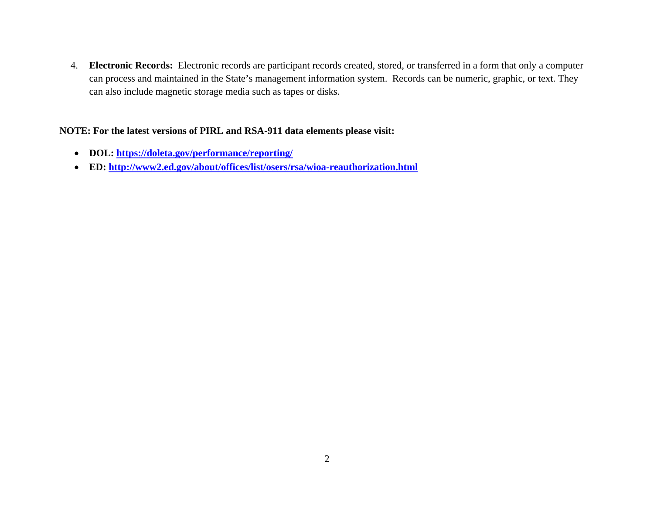4. **Electronic Records:** Electronic records are participant records created, stored, or transferred in a form that only a computer can process and maintained in the State's management information system. Records can be numeric, graphic, or text. They can also include magnetic storage media such as tapes or disks.

### **NOTE: For the latest versions of PIRL and RSA-911 data elements please visit:**

- **DOL:<https://doleta.gov/performance/reporting/>**
- **ED:<http://www2.ed.gov/about/offices/list/osers/rsa/wioa-reauthorization.html>**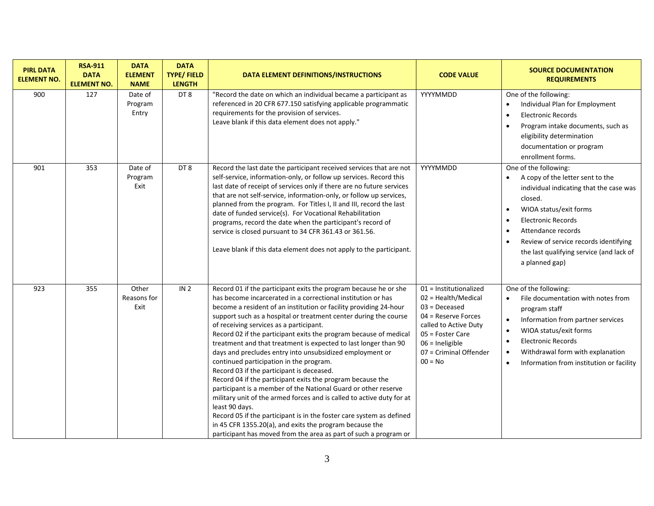| <b>PIRL DATA</b><br><b>ELEMENT NO.</b> | <b>RSA-911</b><br><b>DATA</b><br><b>ELEMENT NO.</b> | <b>DATA</b><br><b>ELEMENT</b><br><b>NAME</b> | <b>DATA</b><br><b>TYPE/FIELD</b><br><b>LENGTH</b> | DATA ELEMENT DEFINITIONS/INSTRUCTIONS                                                                                                                                                                                                                                                                                                                                                                                                                                                                                                                                                                                                                                                                                                                                                                                                                                                                                                                                                                                                              | <b>CODE VALUE</b>                                                                                                                                                                                  | <b>SOURCE DOCUMENTATION</b><br><b>REQUIREMENTS</b>                                                                                                                                                                                                                                                                                                                   |
|----------------------------------------|-----------------------------------------------------|----------------------------------------------|---------------------------------------------------|----------------------------------------------------------------------------------------------------------------------------------------------------------------------------------------------------------------------------------------------------------------------------------------------------------------------------------------------------------------------------------------------------------------------------------------------------------------------------------------------------------------------------------------------------------------------------------------------------------------------------------------------------------------------------------------------------------------------------------------------------------------------------------------------------------------------------------------------------------------------------------------------------------------------------------------------------------------------------------------------------------------------------------------------------|----------------------------------------------------------------------------------------------------------------------------------------------------------------------------------------------------|----------------------------------------------------------------------------------------------------------------------------------------------------------------------------------------------------------------------------------------------------------------------------------------------------------------------------------------------------------------------|
| 900                                    | 127                                                 | Date of<br>Program<br>Entry                  | DT8                                               | "Record the date on which an individual became a participant as<br>referenced in 20 CFR 677.150 satisfying applicable programmatic<br>requirements for the provision of services.<br>Leave blank if this data element does not apply."                                                                                                                                                                                                                                                                                                                                                                                                                                                                                                                                                                                                                                                                                                                                                                                                             | YYYYMMDD                                                                                                                                                                                           | One of the following:<br>Individual Plan for Employment<br><b>Electronic Records</b><br>$\bullet$<br>Program intake documents, such as<br>$\bullet$<br>eligibility determination<br>documentation or program<br>enrollment forms.                                                                                                                                    |
| 901                                    | 353                                                 | Date of<br>Program<br>Exit                   | DT <sub>8</sub>                                   | Record the last date the participant received services that are not<br>self-service, information-only, or follow up services. Record this<br>last date of receipt of services only if there are no future services<br>that are not self-service, information-only, or follow up services,<br>planned from the program. For Titles I, II and III, record the last<br>date of funded service(s). For Vocational Rehabilitation<br>programs, record the date when the participant's record of<br>service is closed pursuant to 34 CFR 361.43 or 361.56.<br>Leave blank if this data element does not apply to the participant.                                                                                                                                                                                                                                                                                                                                                                                                                        | YYYYMMDD                                                                                                                                                                                           | One of the following:<br>A copy of the letter sent to the<br>$\bullet$<br>individual indicating that the case was<br>closed.<br>WIOA status/exit forms<br>$\bullet$<br><b>Electronic Records</b><br>$\bullet$<br>Attendance records<br>$\bullet$<br>Review of service records identifying<br>$\bullet$<br>the last qualifying service (and lack of<br>a planned gap) |
| 923                                    | 355                                                 | Other<br>Reasons for<br>Exit                 | IN <sub>2</sub>                                   | Record 01 if the participant exits the program because he or she<br>has become incarcerated in a correctional institution or has<br>become a resident of an institution or facility providing 24-hour<br>support such as a hospital or treatment center during the course<br>of receiving services as a participant.<br>Record 02 if the participant exits the program because of medical<br>treatment and that treatment is expected to last longer than 90<br>days and precludes entry into unsubsidized employment or<br>continued participation in the program.<br>Record 03 if the participant is deceased.<br>Record 04 if the participant exits the program because the<br>participant is a member of the National Guard or other reserve<br>military unit of the armed forces and is called to active duty for at<br>least 90 days.<br>Record 05 if the participant is in the foster care system as defined<br>in 45 CFR 1355.20(a), and exits the program because the<br>participant has moved from the area as part of such a program or | 01 = Institutionalized<br>$02$ = Health/Medical<br>$03 = Deceased$<br>04 = Reserve Forces<br>called to Active Duty<br>05 = Foster Care<br>$06$ = Ineligible<br>07 = Criminal Offender<br>$00 = No$ | One of the following:<br>File documentation with notes from<br>$\bullet$<br>program staff<br>Information from partner services<br>$\bullet$<br>WIOA status/exit forms<br>$\bullet$<br><b>Electronic Records</b><br>$\bullet$<br>Withdrawal form with explanation<br>$\bullet$<br>Information from institution or facility<br>$\bullet$                               |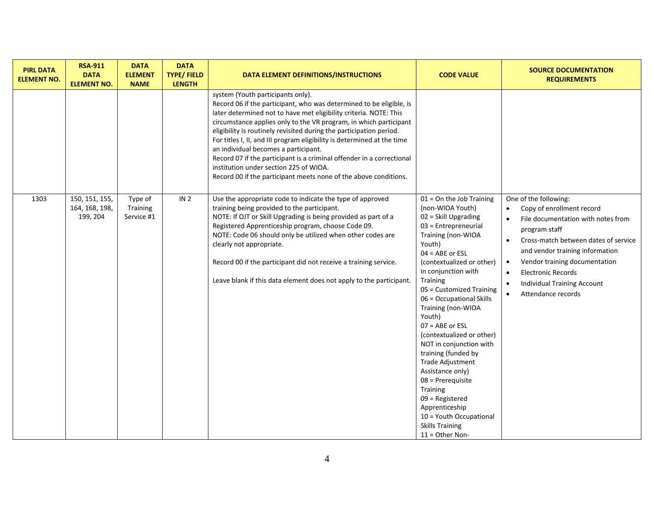| <b>PIRL DATA</b><br><b>ELEMENT NO.</b> | <b>RSA-911</b><br><b>DATA</b><br><b>ELEMENT NO.</b> | <b>DATA</b><br><b>ELEMENT</b><br><b>NAME</b> | <b>DATA</b><br><b>TYPE/FIELD</b><br><b>LENGTH</b> | DATA ELEMENT DEFINITIONS/INSTRUCTIONS                                                                                                                                                                                                                                                                                                                                                                                                                                                                                                                                                                                               | <b>CODE VALUE</b>                                                                                                                                                                                                                                                                                                                                                                                                                                                                                                                                                                                                        | <b>SOURCE DOCUMENTATION</b><br><b>REQUIREMENTS</b>                                                                                                                                                                                                                                                                                                                                                        |
|----------------------------------------|-----------------------------------------------------|----------------------------------------------|---------------------------------------------------|-------------------------------------------------------------------------------------------------------------------------------------------------------------------------------------------------------------------------------------------------------------------------------------------------------------------------------------------------------------------------------------------------------------------------------------------------------------------------------------------------------------------------------------------------------------------------------------------------------------------------------------|--------------------------------------------------------------------------------------------------------------------------------------------------------------------------------------------------------------------------------------------------------------------------------------------------------------------------------------------------------------------------------------------------------------------------------------------------------------------------------------------------------------------------------------------------------------------------------------------------------------------------|-----------------------------------------------------------------------------------------------------------------------------------------------------------------------------------------------------------------------------------------------------------------------------------------------------------------------------------------------------------------------------------------------------------|
|                                        |                                                     |                                              |                                                   | system (Youth participants only).<br>Record 06 if the participant, who was determined to be eligible, is<br>later determined not to have met eligibility criteria. NOTE: This<br>circumstance applies only to the VR program, in which participant<br>eligibility is routinely revisited during the participation period.<br>For titles I, II, and III program eligibility is determined at the time<br>an individual becomes a participant.<br>Record 07 if the participant is a criminal offender in a correctional<br>institution under section 225 of WIOA.<br>Record 00 if the participant meets none of the above conditions. |                                                                                                                                                                                                                                                                                                                                                                                                                                                                                                                                                                                                                          |                                                                                                                                                                                                                                                                                                                                                                                                           |
| 1303                                   | 150, 151, 155,<br>164, 168, 198,<br>199, 204        | Type of<br>Training<br>Service #1            | IN <sub>2</sub>                                   | Use the appropriate code to indicate the type of approved<br>training being provided to the participant.<br>NOTE: If OJT or Skill Upgrading is being provided as part of a<br>Registered Apprenticeship program, choose Code 09.<br>NOTE: Code 06 should only be utilized when other codes are<br>clearly not appropriate.<br>Record 00 if the participant did not receive a training service.<br>Leave blank if this data element does not apply to the participant.                                                                                                                                                               | $01 =$ On the Job Training<br>(non-WIOA Youth)<br>02 = Skill Upgrading<br>$03$ = Entrepreneurial<br>Training (non-WIOA<br>Youth)<br>$04 = ABE$ or $ESL$<br>(contextualized or other)<br>in conjunction with<br><b>Training</b><br>05 = Customized Training<br>06 = Occupational Skills<br>Training (non-WIOA<br>Youth)<br>$07 = ABE$ or $ESL$<br>(contextualized or other)<br>NOT in conjunction with<br>training (funded by<br>Trade Adjustment<br>Assistance only)<br>$08$ = Prerequisite<br>Training<br>$09$ = Registered<br>Apprenticeship<br>10 = Youth Occupational<br><b>Skills Training</b><br>$11 =$ Other Non- | One of the following:<br>Copy of enrollment record<br>$\bullet$<br>File documentation with notes from<br>$\bullet$<br>program staff<br>Cross-match between dates of service<br>$\bullet$<br>and vendor training information<br>Vendor training documentation<br>$\bullet$<br><b>Electronic Records</b><br>$\bullet$<br><b>Individual Training Account</b><br>$\bullet$<br>Attendance records<br>$\bullet$ |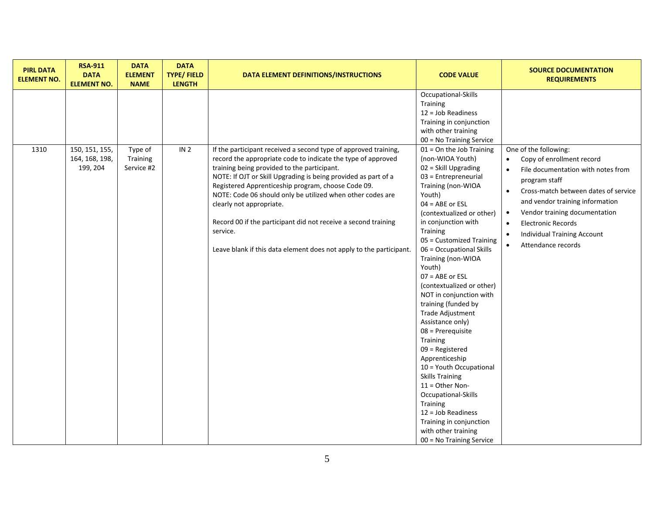| <b>PIRL DATA</b><br><b>ELEMENT NO.</b> | <b>RSA-911</b><br><b>DATA</b><br><b>ELEMENT NO.</b> | <b>DATA</b><br><b>ELEMENT</b><br><b>NAME</b> | <b>DATA</b><br><b>TYPE/FIELD</b><br><b>LENGTH</b> | DATA ELEMENT DEFINITIONS/INSTRUCTIONS                                                                                                                                                                                                                                                                                                                                                                                                                                              | <b>CODE VALUE</b>                                                                                                                                                                                                                                                                                                                                                                                                                                                                                                                                                                 | <b>SOURCE DOCUMENTATION</b><br><b>REQUIREMENTS</b>                                                                                                                                                                                                                                                                                                                  |
|----------------------------------------|-----------------------------------------------------|----------------------------------------------|---------------------------------------------------|------------------------------------------------------------------------------------------------------------------------------------------------------------------------------------------------------------------------------------------------------------------------------------------------------------------------------------------------------------------------------------------------------------------------------------------------------------------------------------|-----------------------------------------------------------------------------------------------------------------------------------------------------------------------------------------------------------------------------------------------------------------------------------------------------------------------------------------------------------------------------------------------------------------------------------------------------------------------------------------------------------------------------------------------------------------------------------|---------------------------------------------------------------------------------------------------------------------------------------------------------------------------------------------------------------------------------------------------------------------------------------------------------------------------------------------------------------------|
| 1310                                   | 150, 151, 155,                                      | Type of                                      | IN <sub>2</sub>                                   | If the participant received a second type of approved training,                                                                                                                                                                                                                                                                                                                                                                                                                    | Occupational-Skills<br>Training<br>$12 = Job Readiness$<br>Training in conjunction<br>with other training<br>00 = No Training Service<br>$01 =$ On the Job Training                                                                                                                                                                                                                                                                                                                                                                                                               | One of the following:<br>$\bullet$                                                                                                                                                                                                                                                                                                                                  |
|                                        | 164, 168, 198,<br>199, 204                          | Training<br>Service #2                       |                                                   | record the appropriate code to indicate the type of approved<br>training being provided to the participant.<br>NOTE: If OJT or Skill Upgrading is being provided as part of a<br>Registered Apprenticeship program, choose Code 09.<br>NOTE: Code 06 should only be utilized when other codes are<br>clearly not appropriate.<br>Record 00 if the participant did not receive a second training<br>service.<br>Leave blank if this data element does not apply to the participant. | (non-WIOA Youth)<br>02 = Skill Upgrading<br>03 = Entrepreneurial<br>Training (non-WIOA<br>Youth)<br>$04 = ABE$ or $ESL$<br>(contextualized or other)<br>in conjunction with<br>Training<br>05 = Customized Training<br>06 = Occupational Skills<br>Training (non-WIOA<br>Youth)<br>$07 = ABE$ or $ESL$<br>(contextualized or other)<br>NOT in conjunction with<br>training (funded by<br>Trade Adjustment<br>Assistance only)<br>$08$ = Prerequisite<br>Training<br>$09$ = Registered<br>Apprenticeship<br>10 = Youth Occupational<br><b>Skills Training</b><br>$11 =$ Other Non- | Copy of enrollment record<br>File documentation with notes from<br>$\bullet$<br>program staff<br>Cross-match between dates of service<br>$\bullet$<br>and vendor training information<br>Vendor training documentation<br>$\bullet$<br><b>Electronic Records</b><br>$\bullet$<br><b>Individual Training Account</b><br>$\bullet$<br>Attendance records<br>$\bullet$ |
|                                        |                                                     |                                              |                                                   |                                                                                                                                                                                                                                                                                                                                                                                                                                                                                    | Occupational-Skills<br>Training<br>$12 = Job Readiness$<br>Training in conjunction<br>with other training<br>00 = No Training Service                                                                                                                                                                                                                                                                                                                                                                                                                                             |                                                                                                                                                                                                                                                                                                                                                                     |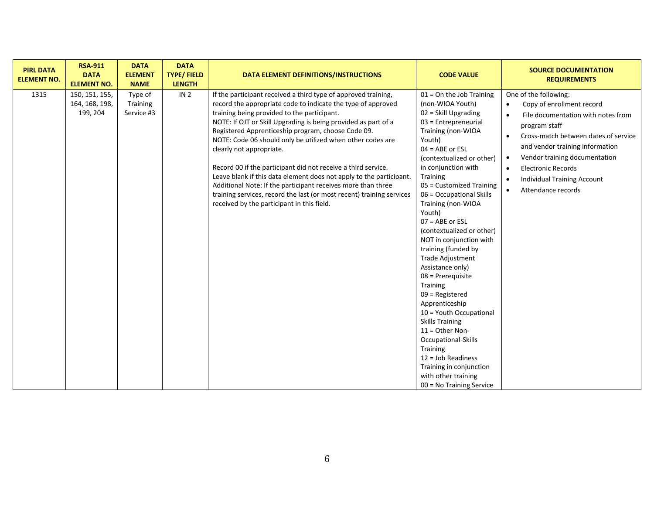| <b>PIRL DATA</b><br><b>ELEMENT NO.</b> | <b>RSA-911</b><br><b>DATA</b><br><b>ELEMENT NO.</b> | <b>DATA</b><br><b>ELEMENT</b><br><b>NAME</b> | <b>DATA</b><br><b>TYPE/FIELD</b><br><b>LENGTH</b> | DATA ELEMENT DEFINITIONS/INSTRUCTIONS                                                                                                                                                                                                                                                                                                                                                                                                                                                                                                                                                                                                                                                                                          | <b>CODE VALUE</b>                                                                                                                                                                                                                                                                                                                                                                                                                                                                                                                                                                                                                                                                                                                                                      | <b>SOURCE DOCUMENTATION</b><br><b>REQUIREMENTS</b>                                                                                                                                                                                                                                                                                                                                                        |
|----------------------------------------|-----------------------------------------------------|----------------------------------------------|---------------------------------------------------|--------------------------------------------------------------------------------------------------------------------------------------------------------------------------------------------------------------------------------------------------------------------------------------------------------------------------------------------------------------------------------------------------------------------------------------------------------------------------------------------------------------------------------------------------------------------------------------------------------------------------------------------------------------------------------------------------------------------------------|------------------------------------------------------------------------------------------------------------------------------------------------------------------------------------------------------------------------------------------------------------------------------------------------------------------------------------------------------------------------------------------------------------------------------------------------------------------------------------------------------------------------------------------------------------------------------------------------------------------------------------------------------------------------------------------------------------------------------------------------------------------------|-----------------------------------------------------------------------------------------------------------------------------------------------------------------------------------------------------------------------------------------------------------------------------------------------------------------------------------------------------------------------------------------------------------|
| 1315                                   | 150, 151, 155,<br>164, 168, 198,<br>199, 204        | Type of<br><b>Training</b><br>Service #3     | IN <sub>2</sub>                                   | If the participant received a third type of approved training,<br>record the appropriate code to indicate the type of approved<br>training being provided to the participant.<br>NOTE: If OJT or Skill Upgrading is being provided as part of a<br>Registered Apprenticeship program, choose Code 09.<br>NOTE: Code 06 should only be utilized when other codes are<br>clearly not appropriate.<br>Record 00 if the participant did not receive a third service.<br>Leave blank if this data element does not apply to the participant.<br>Additional Note: If the participant receives more than three<br>training services, record the last (or most recent) training services<br>received by the participant in this field. | $01 =$ On the Job Training<br>(non-WIOA Youth)<br>02 = Skill Upgrading<br>03 = Entrepreneurial<br>Training (non-WIOA<br>Youth)<br>$04 = ABE$ or $ESL$<br>(contextualized or other)<br>in conjunction with<br><b>Training</b><br>05 = Customized Training<br>06 = Occupational Skills<br>Training (non-WIOA<br>Youth)<br>$07 = ABE$ or $ESL$<br>(contextualized or other)<br>NOT in conjunction with<br>training (funded by<br>Trade Adjustment<br>Assistance only)<br>$08$ = Prerequisite<br>Training<br>$09$ = Registered<br>Apprenticeship<br>10 = Youth Occupational<br><b>Skills Training</b><br>$11 =$ Other Non-<br>Occupational-Skills<br><b>Training</b><br>$12 =$ Job Readiness<br>Training in conjunction<br>with other training<br>00 = No Training Service | One of the following:<br>Copy of enrollment record<br>$\bullet$<br>File documentation with notes from<br>$\bullet$<br>program staff<br>Cross-match between dates of service<br>$\bullet$<br>and vendor training information<br>Vendor training documentation<br>$\bullet$<br><b>Electronic Records</b><br>$\bullet$<br><b>Individual Training Account</b><br>$\bullet$<br>Attendance records<br>$\bullet$ |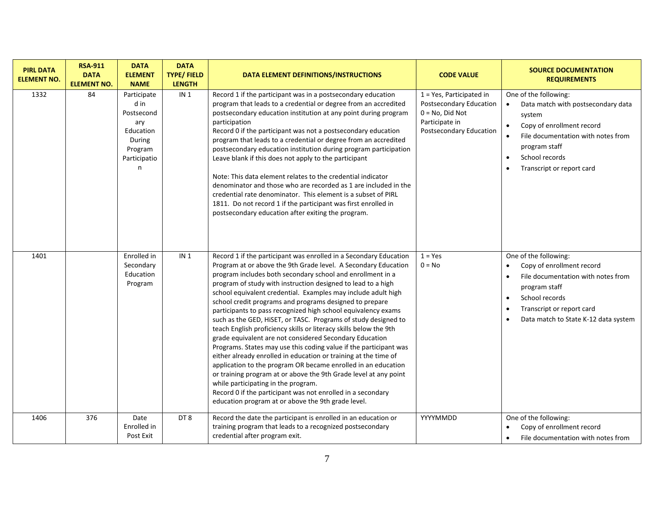| <b>PIRL DATA</b><br><b>ELEMENT NO.</b> | <b>RSA-911</b><br><b>DATA</b><br><b>ELEMENT NO.</b> | <b>DATA</b><br><b>ELEMENT</b><br><b>NAME</b>                                                    | <b>DATA</b><br><b>TYPE/FIELD</b><br><b>LENGTH</b> | DATA ELEMENT DEFINITIONS/INSTRUCTIONS                                                                                                                                                                                                                                                                                                                                                                                                                                                                                                                                                                                                                                                                                                                                                                                                                                                                                                                                                                                                                                                                     | <b>CODE VALUE</b>                                                                                                                       | <b>SOURCE DOCUMENTATION</b><br><b>REQUIREMENTS</b>                                                                                                                                                                    |
|----------------------------------------|-----------------------------------------------------|-------------------------------------------------------------------------------------------------|---------------------------------------------------|-----------------------------------------------------------------------------------------------------------------------------------------------------------------------------------------------------------------------------------------------------------------------------------------------------------------------------------------------------------------------------------------------------------------------------------------------------------------------------------------------------------------------------------------------------------------------------------------------------------------------------------------------------------------------------------------------------------------------------------------------------------------------------------------------------------------------------------------------------------------------------------------------------------------------------------------------------------------------------------------------------------------------------------------------------------------------------------------------------------|-----------------------------------------------------------------------------------------------------------------------------------------|-----------------------------------------------------------------------------------------------------------------------------------------------------------------------------------------------------------------------|
| 1332                                   | 84                                                  | Participate<br>d in<br>Postsecond<br>ary<br>Education<br>During<br>Program<br>Participatio<br>n | IN <sub>1</sub>                                   | Record 1 if the participant was in a postsecondary education<br>program that leads to a credential or degree from an accredited<br>postsecondary education institution at any point during program<br>participation<br>Record 0 if the participant was not a postsecondary education<br>program that leads to a credential or degree from an accredited<br>postsecondary education institution during program participation<br>Leave blank if this does not apply to the participant<br>Note: This data element relates to the credential indicator<br>denominator and those who are recorded as 1 are included in the<br>credential rate denominator. This element is a subset of PIRL<br>1811. Do not record 1 if the participant was first enrolled in<br>postsecondary education after exiting the program.                                                                                                                                                                                                                                                                                           | $1 = Yes$ , Participated in<br><b>Postsecondary Education</b><br>$0 = No$ , Did Not<br>Participate in<br><b>Postsecondary Education</b> | One of the following:<br>Data match with postsecondary data<br>system<br>Copy of enrollment record<br>File documentation with notes from<br>program staff<br>School records<br>$\bullet$<br>Transcript or report card |
| 1401                                   |                                                     | Enrolled in<br>Secondary<br>Education<br>Program                                                | IN <sub>1</sub>                                   | Record 1 if the participant was enrolled in a Secondary Education<br>Program at or above the 9th Grade level. A Secondary Education<br>program includes both secondary school and enrollment in a<br>program of study with instruction designed to lead to a high<br>school equivalent credential. Examples may include adult high<br>school credit programs and programs designed to prepare<br>participants to pass recognized high school equivalency exams<br>such as the GED, HiSET, or TASC. Programs of study designed to<br>teach English proficiency skills or literacy skills below the 9th<br>grade equivalent are not considered Secondary Education<br>Programs. States may use this coding value if the participant was<br>either already enrolled in education or training at the time of<br>application to the program OR became enrolled in an education<br>or training program at or above the 9th Grade level at any point<br>while participating in the program.<br>Record 0 if the participant was not enrolled in a secondary<br>education program at or above the 9th grade level. | $1 = Yes$<br>$0 = No$                                                                                                                   | One of the following:<br>Copy of enrollment record<br>File documentation with notes from<br>program staff<br>School records<br>$\bullet$<br>Transcript or report card<br>Data match to State K-12 data system         |
| 1406                                   | 376                                                 | Date<br>Enrolled in<br>Post Exit                                                                | DT8                                               | Record the date the participant is enrolled in an education or<br>training program that leads to a recognized postsecondary<br>credential after program exit.                                                                                                                                                                                                                                                                                                                                                                                                                                                                                                                                                                                                                                                                                                                                                                                                                                                                                                                                             | YYYYMMDD                                                                                                                                | One of the following:<br>Copy of enrollment record<br>File documentation with notes from                                                                                                                              |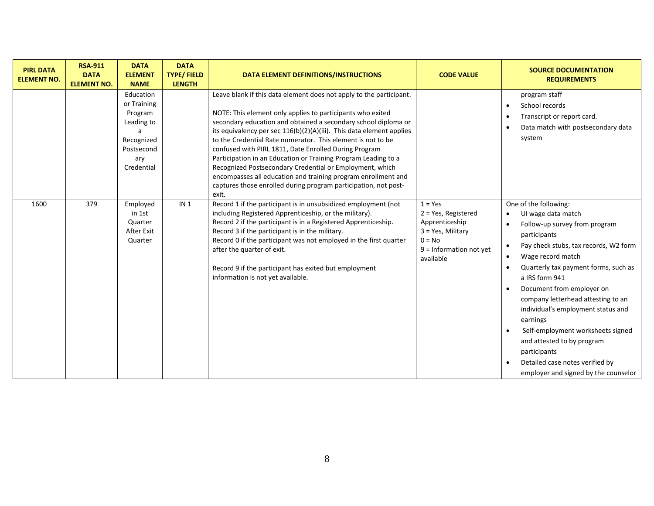| <b>PIRL DATA</b><br><b>ELEMENT NO.</b> | <b>RSA-911</b><br><b>DATA</b><br><b>ELEMENT NO.</b> | <b>DATA</b><br><b>ELEMENT</b><br><b>NAME</b>                                                       | <b>DATA</b><br><b>TYPE/FIELD</b><br><b>LENGTH</b> | DATA ELEMENT DEFINITIONS/INSTRUCTIONS                                                                                                                                                                                                                                                                                                                                                                                                                                                                                                                                                                                                                                          | <b>CODE VALUE</b>                                                                                                                   | <b>SOURCE DOCUMENTATION</b><br><b>REQUIREMENTS</b>                                                                                                                                                                                                                                                                                                                                                                                                                                                                                                                                                              |
|----------------------------------------|-----------------------------------------------------|----------------------------------------------------------------------------------------------------|---------------------------------------------------|--------------------------------------------------------------------------------------------------------------------------------------------------------------------------------------------------------------------------------------------------------------------------------------------------------------------------------------------------------------------------------------------------------------------------------------------------------------------------------------------------------------------------------------------------------------------------------------------------------------------------------------------------------------------------------|-------------------------------------------------------------------------------------------------------------------------------------|-----------------------------------------------------------------------------------------------------------------------------------------------------------------------------------------------------------------------------------------------------------------------------------------------------------------------------------------------------------------------------------------------------------------------------------------------------------------------------------------------------------------------------------------------------------------------------------------------------------------|
|                                        |                                                     | Education<br>or Training<br>Program<br>Leading to<br>Recognized<br>Postsecond<br>ary<br>Credential |                                                   | Leave blank if this data element does not apply to the participant.<br>NOTE: This element only applies to participants who exited<br>secondary education and obtained a secondary school diploma or<br>its equivalency per sec 116(b)(2)(A)(iii). This data element applies<br>to the Credential Rate numerator. This element is not to be<br>confused with PIRL 1811, Date Enrolled During Program<br>Participation in an Education or Training Program Leading to a<br>Recognized Postsecondary Credential or Employment, which<br>encompasses all education and training program enrollment and<br>captures those enrolled during program participation, not post-<br>exit. |                                                                                                                                     | program staff<br>School records<br>$\bullet$<br>Transcript or report card.<br>$\bullet$<br>Data match with postsecondary data<br>$\bullet$<br>system                                                                                                                                                                                                                                                                                                                                                                                                                                                            |
| 1600                                   | 379                                                 | Employed<br>in 1st<br>Quarter<br>After Exit<br>Quarter                                             | IN <sub>1</sub>                                   | Record 1 if the participant is in unsubsidized employment (not<br>including Registered Apprenticeship, or the military).<br>Record 2 if the participant is in a Registered Apprenticeship.<br>Record 3 if the participant is in the military.<br>Record 0 if the participant was not employed in the first quarter<br>after the quarter of exit.<br>Record 9 if the participant has exited but employment<br>information is not yet available.                                                                                                                                                                                                                                 | $1 = Yes$<br>$2 = Yes$ , Registered<br>Apprenticeship<br>$3 = Yes$ , Military<br>$0 = No$<br>$9 =$ Information not yet<br>available | One of the following:<br>UI wage data match<br>$\bullet$<br>Follow-up survey from program<br>$\bullet$<br>participants<br>Pay check stubs, tax records, W2 form<br>$\bullet$<br>Wage record match<br>$\bullet$<br>Quarterly tax payment forms, such as<br>$\bullet$<br>a IRS form 941<br>Document from employer on<br>$\bullet$<br>company letterhead attesting to an<br>individual's employment status and<br>earnings<br>Self-employment worksheets signed<br>$\bullet$<br>and attested to by program<br>participants<br>Detailed case notes verified by<br>$\bullet$<br>employer and signed by the counselor |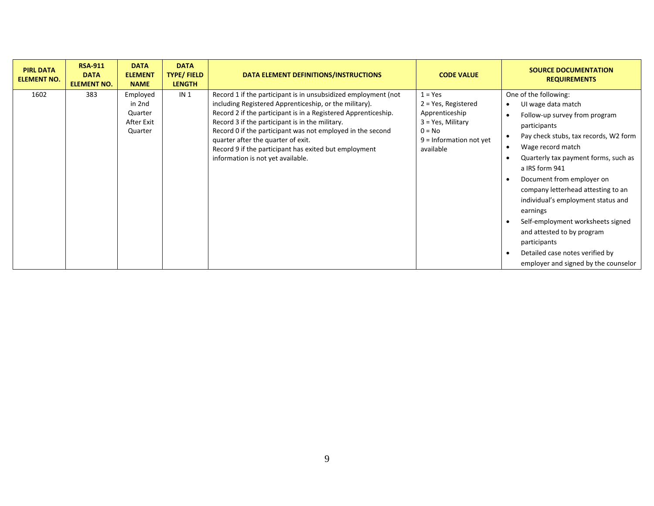| <b>PIRL DATA</b><br><b>ELEMENT NO.</b> | <b>RSA-911</b><br><b>DATA</b><br><b>ELEMENT NO.</b> | <b>DATA</b><br><b>ELEMENT</b><br><b>NAME</b>           | <b>DATA</b><br><b>TYPE/FIELD</b><br><b>LENGTH</b> | DATA ELEMENT DEFINITIONS/INSTRUCTIONS                                                                                                                                                                                                                                                                                                                                                                                                           | <b>CODE VALUE</b>                                                                                                                   | <b>SOURCE DOCUMENTATION</b><br><b>REQUIREMENTS</b>                                                                                                                                                                                                                                                                                                                                                                                                                                                      |
|----------------------------------------|-----------------------------------------------------|--------------------------------------------------------|---------------------------------------------------|-------------------------------------------------------------------------------------------------------------------------------------------------------------------------------------------------------------------------------------------------------------------------------------------------------------------------------------------------------------------------------------------------------------------------------------------------|-------------------------------------------------------------------------------------------------------------------------------------|---------------------------------------------------------------------------------------------------------------------------------------------------------------------------------------------------------------------------------------------------------------------------------------------------------------------------------------------------------------------------------------------------------------------------------------------------------------------------------------------------------|
| 1602                                   | 383                                                 | Employed<br>in 2nd<br>Quarter<br>After Exit<br>Quarter | IN <sub>1</sub>                                   | Record 1 if the participant is in unsubsidized employment (not<br>including Registered Apprenticeship, or the military).<br>Record 2 if the participant is in a Registered Apprenticeship.<br>Record 3 if the participant is in the military.<br>Record 0 if the participant was not employed in the second<br>quarter after the quarter of exit.<br>Record 9 if the participant has exited but employment<br>information is not yet available. | $1 = Yes$<br>$2 = Yes$ , Registered<br>Apprenticeship<br>$3 = Yes$ , Military<br>$0 = No$<br>$9$ = Information not yet<br>available | One of the following:<br>UI wage data match<br>Follow-up survey from program<br>participants<br>Pay check stubs, tax records, W2 form<br>Wage record match<br>Quarterly tax payment forms, such as<br>a IRS form 941<br>Document from employer on<br>company letterhead attesting to an<br>individual's employment status and<br>earnings<br>Self-employment worksheets signed<br>and attested to by program<br>participants<br>Detailed case notes verified by<br>employer and signed by the counselor |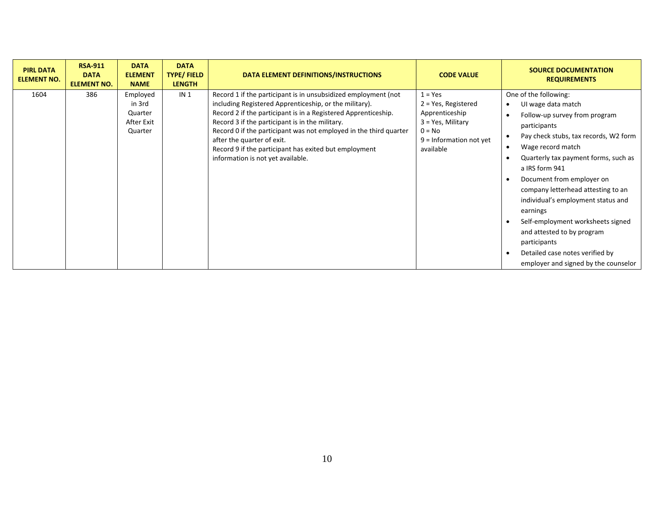| <b>PIRL DATA</b><br><b>ELEMENT NO.</b> | <b>RSA-911</b><br><b>DATA</b><br><b>ELEMENT NO.</b> | <b>DATA</b><br><b>ELEMENT</b><br><b>NAME</b>           | <b>DATA</b><br><b>TYPE/FIELD</b><br><b>LENGTH</b> | DATA ELEMENT DEFINITIONS/INSTRUCTIONS                                                                                                                                                                                                                                                                                                                                                                                                          | <b>CODE VALUE</b>                                                                                                                   | <b>SOURCE DOCUMENTATION</b><br><b>REQUIREMENTS</b>                                                                                                                                                                                                                                                                                                                                                                                                                                                                   |
|----------------------------------------|-----------------------------------------------------|--------------------------------------------------------|---------------------------------------------------|------------------------------------------------------------------------------------------------------------------------------------------------------------------------------------------------------------------------------------------------------------------------------------------------------------------------------------------------------------------------------------------------------------------------------------------------|-------------------------------------------------------------------------------------------------------------------------------------|----------------------------------------------------------------------------------------------------------------------------------------------------------------------------------------------------------------------------------------------------------------------------------------------------------------------------------------------------------------------------------------------------------------------------------------------------------------------------------------------------------------------|
| 1604                                   | 386                                                 | Employed<br>in 3rd<br>Quarter<br>After Exit<br>Quarter | IN <sub>1</sub>                                   | Record 1 if the participant is in unsubsidized employment (not<br>including Registered Apprenticeship, or the military).<br>Record 2 if the participant is in a Registered Apprenticeship.<br>Record 3 if the participant is in the military.<br>Record 0 if the participant was not employed in the third quarter<br>after the quarter of exit.<br>Record 9 if the participant has exited but employment<br>information is not yet available. | $1 = Yes$<br>$2 = Yes$ , Registered<br>Apprenticeship<br>$3 = Yes$ , Military<br>$0 = No$<br>$9 =$ Information not yet<br>available | One of the following:<br>UI wage data match<br>Follow-up survey from program<br>participants<br>Pay check stubs, tax records, W2 form<br>Wage record match<br>Quarterly tax payment forms, such as<br>a IRS form 941<br>Document from employer on<br>company letterhead attesting to an<br>individual's employment status and<br>earnings<br>Self-employment worksheets signed<br>and attested to by program<br>participants<br>Detailed case notes verified by<br>$\bullet$<br>employer and signed by the counselor |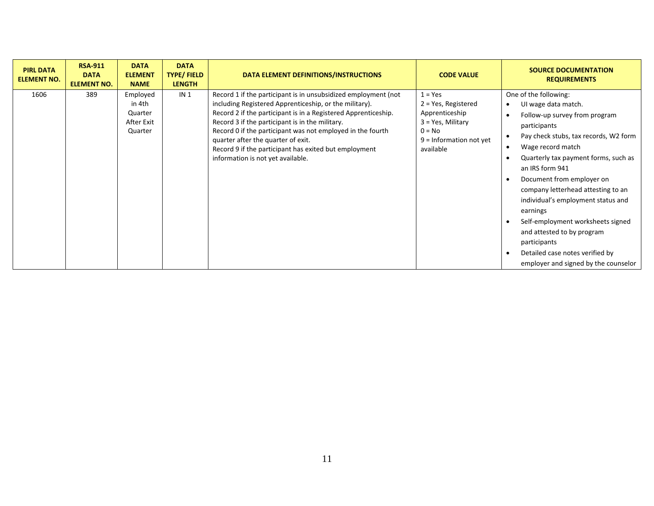| <b>PIRL DATA</b><br><b>ELEMENT NO.</b> | <b>RSA-911</b><br><b>DATA</b><br><b>ELEMENT NO.</b> | <b>DATA</b><br><b>ELEMENT</b><br><b>NAME</b>           | <b>DATA</b><br><b>TYPE/FIELD</b><br><b>LENGTH</b> | DATA ELEMENT DEFINITIONS/INSTRUCTIONS                                                                                                                                                                                                                                                                                                                                                                                                           | <b>CODE VALUE</b>                                                                                                                   | <b>SOURCE DOCUMENTATION</b><br><b>REQUIREMENTS</b>                                                                                                                                                                                                                                                                                                                                                                                                                                                                                  |
|----------------------------------------|-----------------------------------------------------|--------------------------------------------------------|---------------------------------------------------|-------------------------------------------------------------------------------------------------------------------------------------------------------------------------------------------------------------------------------------------------------------------------------------------------------------------------------------------------------------------------------------------------------------------------------------------------|-------------------------------------------------------------------------------------------------------------------------------------|-------------------------------------------------------------------------------------------------------------------------------------------------------------------------------------------------------------------------------------------------------------------------------------------------------------------------------------------------------------------------------------------------------------------------------------------------------------------------------------------------------------------------------------|
| 1606                                   | 389                                                 | Employed<br>in 4th<br>Quarter<br>After Exit<br>Quarter | IN <sub>1</sub>                                   | Record 1 if the participant is in unsubsidized employment (not<br>including Registered Apprenticeship, or the military).<br>Record 2 if the participant is in a Registered Apprenticeship.<br>Record 3 if the participant is in the military.<br>Record 0 if the participant was not employed in the fourth<br>quarter after the quarter of exit.<br>Record 9 if the participant has exited but employment<br>information is not yet available. | $1 = Yes$<br>$2 = Yes$ , Registered<br>Apprenticeship<br>$3 = Yes$ , Military<br>$0 = No$<br>$9 =$ Information not yet<br>available | One of the following:<br>UI wage data match.<br>$\bullet$<br>Follow-up survey from program<br>participants<br>Pay check stubs, tax records, W2 form<br>Wage record match<br>$\bullet$<br>Quarterly tax payment forms, such as<br>an IRS form 941<br>Document from employer on<br>company letterhead attesting to an<br>individual's employment status and<br>earnings<br>Self-employment worksheets signed<br>and attested to by program<br>participants<br>Detailed case notes verified by<br>employer and signed by the counselor |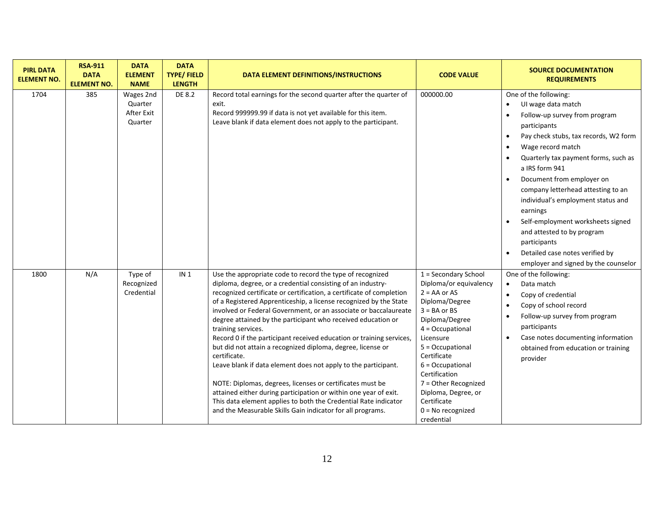| <b>PIRL DATA</b><br><b>ELEMENT NO.</b> | <b>RSA-911</b><br><b>DATA</b><br><b>ELEMENT NO.</b> | <b>DATA</b><br><b>ELEMENT</b><br><b>NAME</b>  | <b>DATA</b><br><b>TYPE/FIELD</b><br><b>LENGTH</b> | DATA ELEMENT DEFINITIONS/INSTRUCTIONS                                                                                                                                                                                                                                                                                                                                                                                                                                                                                                                                                                                                                                                                                                                                                                                                                                                                                     | <b>CODE VALUE</b>                                                                                                                                                                                                                                                                                                                          | <b>SOURCE DOCUMENTATION</b><br><b>REQUIREMENTS</b>                                                                                                                                                                                                                                                                                                                                                                                                                                                                                                                                                              |
|----------------------------------------|-----------------------------------------------------|-----------------------------------------------|---------------------------------------------------|---------------------------------------------------------------------------------------------------------------------------------------------------------------------------------------------------------------------------------------------------------------------------------------------------------------------------------------------------------------------------------------------------------------------------------------------------------------------------------------------------------------------------------------------------------------------------------------------------------------------------------------------------------------------------------------------------------------------------------------------------------------------------------------------------------------------------------------------------------------------------------------------------------------------------|--------------------------------------------------------------------------------------------------------------------------------------------------------------------------------------------------------------------------------------------------------------------------------------------------------------------------------------------|-----------------------------------------------------------------------------------------------------------------------------------------------------------------------------------------------------------------------------------------------------------------------------------------------------------------------------------------------------------------------------------------------------------------------------------------------------------------------------------------------------------------------------------------------------------------------------------------------------------------|
| 1704                                   | 385                                                 | Wages 2nd<br>Quarter<br>After Exit<br>Quarter | DE 8.2                                            | Record total earnings for the second quarter after the quarter of<br>exit.<br>Record 999999.99 if data is not yet available for this item.<br>Leave blank if data element does not apply to the participant.                                                                                                                                                                                                                                                                                                                                                                                                                                                                                                                                                                                                                                                                                                              | 000000.00                                                                                                                                                                                                                                                                                                                                  | One of the following:<br>UI wage data match<br>$\bullet$<br>Follow-up survey from program<br>$\bullet$<br>participants<br>Pay check stubs, tax records, W2 form<br>$\bullet$<br>Wage record match<br>$\bullet$<br>Quarterly tax payment forms, such as<br>$\bullet$<br>a IRS form 941<br>Document from employer on<br>$\bullet$<br>company letterhead attesting to an<br>individual's employment status and<br>earnings<br>Self-employment worksheets signed<br>$\bullet$<br>and attested to by program<br>participants<br>Detailed case notes verified by<br>$\bullet$<br>employer and signed by the counselor |
| 1800                                   | N/A                                                 | Type of<br>Recognized<br>Credential           | IN <sub>1</sub>                                   | Use the appropriate code to record the type of recognized<br>diploma, degree, or a credential consisting of an industry-<br>recognized certificate or certification, a certificate of completion<br>of a Registered Apprenticeship, a license recognized by the State<br>involved or Federal Government, or an associate or baccalaureate<br>degree attained by the participant who received education or<br>training services.<br>Record 0 if the participant received education or training services<br>but did not attain a recognized diploma, degree, license or<br>certificate.<br>Leave blank if data element does not apply to the participant.<br>NOTE: Diplomas, degrees, licenses or certificates must be<br>attained either during participation or within one year of exit.<br>This data element applies to both the Credential Rate indicator<br>and the Measurable Skills Gain indicator for all programs. | 1 = Secondary School<br>Diploma/or equivalency<br>$2 = AA$ or $AS$<br>Diploma/Degree<br>$3 = BA$ or $BS$<br>Diploma/Degree<br>$4 = Occupational$<br>Licensure<br>5 = Occupational<br>Certificate<br>$6 = Occupational$<br>Certification<br>7 = Other Recognized<br>Diploma, Degree, or<br>Certificate<br>$0 = No$ recognized<br>credential | One of the following:<br>Data match<br>$\bullet$<br>Copy of credential<br>$\bullet$<br>Copy of school record<br>$\bullet$<br>Follow-up survey from program<br>$\bullet$<br>participants<br>Case notes documenting information<br>$\bullet$<br>obtained from education or training<br>provider                                                                                                                                                                                                                                                                                                                   |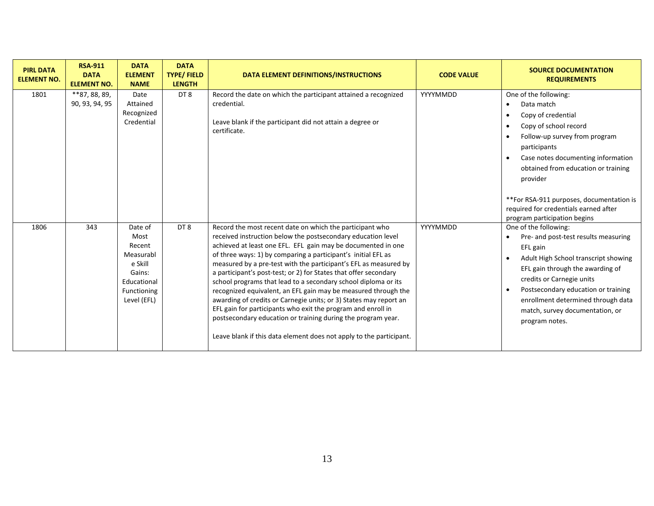| <b>PIRL DATA</b><br><b>ELEMENT NO.</b> | <b>RSA-911</b><br><b>DATA</b><br><b>ELEMENT NO.</b> | <b>DATA</b><br><b>ELEMENT</b><br><b>NAME</b>                                                             | <b>DATA</b><br><b>TYPE/FIELD</b><br><b>LENGTH</b> | DATA ELEMENT DEFINITIONS/INSTRUCTIONS                                                                                                                                                                                                                                                                                                                                                                                                                                                                                                                                                                                                                                                                                                                                                                             | <b>CODE VALUE</b> | <b>SOURCE DOCUMENTATION</b><br><b>REQUIREMENTS</b>                                                                                                                                                                                                                                                                                                                          |
|----------------------------------------|-----------------------------------------------------|----------------------------------------------------------------------------------------------------------|---------------------------------------------------|-------------------------------------------------------------------------------------------------------------------------------------------------------------------------------------------------------------------------------------------------------------------------------------------------------------------------------------------------------------------------------------------------------------------------------------------------------------------------------------------------------------------------------------------------------------------------------------------------------------------------------------------------------------------------------------------------------------------------------------------------------------------------------------------------------------------|-------------------|-----------------------------------------------------------------------------------------------------------------------------------------------------------------------------------------------------------------------------------------------------------------------------------------------------------------------------------------------------------------------------|
| 1801                                   | **87, 88, 89,<br>90, 93, 94, 95                     | Date<br>Attained<br>Recognized<br>Credential                                                             | DT8                                               | Record the date on which the participant attained a recognized<br>credential.<br>Leave blank if the participant did not attain a degree or<br>certificate.                                                                                                                                                                                                                                                                                                                                                                                                                                                                                                                                                                                                                                                        | YYYYMMDD          | One of the following:<br>Data match<br>$\bullet$<br>Copy of credential<br>Copy of school record<br>Follow-up survey from program<br>participants<br>Case notes documenting information<br>$\bullet$<br>obtained from education or training<br>provider<br>**For RSA-911 purposes, documentation is<br>required for credentials earned after<br>program participation begins |
| 1806                                   | 343                                                 | Date of<br>Most<br>Recent<br>Measurabl<br>e Skill<br>Gains:<br>Educational<br>Functioning<br>Level (EFL) | DT8                                               | Record the most recent date on which the participant who<br>received instruction below the postsecondary education level<br>achieved at least one EFL. EFL gain may be documented in one<br>of three ways: 1) by comparing a participant's initial EFL as<br>measured by a pre-test with the participant's EFL as measured by<br>a participant's post-test; or 2) for States that offer secondary<br>school programs that lead to a secondary school diploma or its<br>recognized equivalent, an EFL gain may be measured through the<br>awarding of credits or Carnegie units; or 3) States may report an<br>EFL gain for participants who exit the program and enroll in<br>postsecondary education or training during the program year.<br>Leave blank if this data element does not apply to the participant. | YYYYMMDD          | One of the following:<br>Pre- and post-test results measuring<br>EFL gain<br>Adult High School transcript showing<br>EFL gain through the awarding of<br>credits or Carnegie units<br>Postsecondary education or training<br>$\bullet$<br>enrollment determined through data<br>match, survey documentation, or<br>program notes.                                           |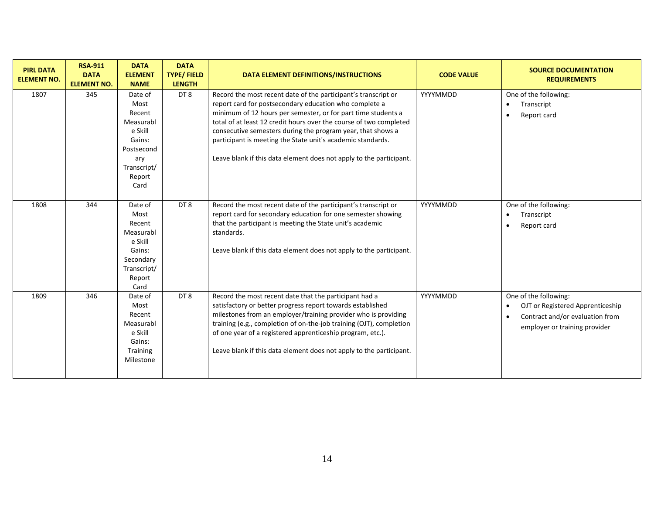| <b>PIRL DATA</b><br><b>ELEMENT NO.</b> | <b>RSA-911</b><br><b>DATA</b><br><b>ELEMENT NO.</b> | <b>DATA</b><br><b>ELEMENT</b><br><b>NAME</b>                                                                      | <b>DATA</b><br><b>TYPE/FIELD</b><br><b>LENGTH</b> | DATA ELEMENT DEFINITIONS/INSTRUCTIONS                                                                                                                                                                                                                                                                                                                                                                                                                                | <b>CODE VALUE</b> | <b>SOURCE DOCUMENTATION</b><br><b>REQUIREMENTS</b>                                                                                                      |
|----------------------------------------|-----------------------------------------------------|-------------------------------------------------------------------------------------------------------------------|---------------------------------------------------|----------------------------------------------------------------------------------------------------------------------------------------------------------------------------------------------------------------------------------------------------------------------------------------------------------------------------------------------------------------------------------------------------------------------------------------------------------------------|-------------------|---------------------------------------------------------------------------------------------------------------------------------------------------------|
| 1807                                   | 345                                                 | Date of<br>Most<br>Recent<br>Measurabl<br>e Skill<br>Gains:<br>Postsecond<br>ary<br>Transcript/<br>Report<br>Card | DT <sub>8</sub>                                   | Record the most recent date of the participant's transcript or<br>report card for postsecondary education who complete a<br>minimum of 12 hours per semester, or for part time students a<br>total of at least 12 credit hours over the course of two completed<br>consecutive semesters during the program year, that shows a<br>participant is meeting the State unit's academic standards.<br>Leave blank if this data element does not apply to the participant. | YYYYMMDD          | One of the following:<br>Transcript<br>$\bullet$<br>Report card<br>$\bullet$                                                                            |
| 1808                                   | 344                                                 | Date of<br>Most<br>Recent<br>Measurabl<br>e Skill<br>Gains:<br>Secondary<br>Transcript/<br>Report<br>Card         | DT8                                               | Record the most recent date of the participant's transcript or<br>report card for secondary education for one semester showing<br>that the participant is meeting the State unit's academic<br>standards.<br>Leave blank if this data element does not apply to the participant.                                                                                                                                                                                     | YYYYMMDD          | One of the following:<br>Transcript<br>$\bullet$<br>Report card<br>$\bullet$                                                                            |
| 1809                                   | 346                                                 | Date of<br>Most<br>Recent<br>Measurabl<br>e Skill<br>Gains:<br><b>Training</b><br>Milestone                       | DT8                                               | Record the most recent date that the participant had a<br>satisfactory or better progress report towards established<br>milestones from an employer/training provider who is providing<br>training (e.g., completion of on-the-job training (OJT), completion<br>of one year of a registered apprenticeship program, etc.).<br>Leave blank if this data element does not apply to the participant.                                                                   | YYYYMMDD          | One of the following:<br>OJT or Registered Apprenticeship<br>$\bullet$<br>Contract and/or evaluation from<br>$\bullet$<br>employer or training provider |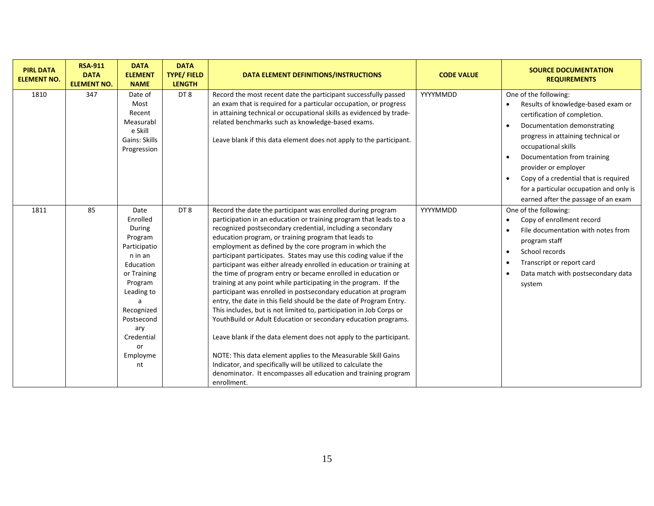| <b>PIRL DATA</b><br><b>ELEMENT NO.</b> | <b>RSA-911</b><br><b>DATA</b><br><b>ELEMENT NO.</b> | <b>DATA</b><br><b>ELEMENT</b><br><b>NAME</b>                                                                                                                                                        | <b>DATA</b><br><b>TYPE/FIELD</b><br><b>LENGTH</b> | <b>DATA ELEMENT DEFINITIONS/INSTRUCTIONS</b>                                                                                                                                                                                                                                                                                                                                                                                                                                                                                                                                                                                                                                                                                                                                                                                                                                                                                                                                                                                                                                                                                                                               | <b>CODE VALUE</b> | <b>SOURCE DOCUMENTATION</b><br><b>REQUIREMENTS</b>                                                                                                                                                                                                                                                                                                                        |
|----------------------------------------|-----------------------------------------------------|-----------------------------------------------------------------------------------------------------------------------------------------------------------------------------------------------------|---------------------------------------------------|----------------------------------------------------------------------------------------------------------------------------------------------------------------------------------------------------------------------------------------------------------------------------------------------------------------------------------------------------------------------------------------------------------------------------------------------------------------------------------------------------------------------------------------------------------------------------------------------------------------------------------------------------------------------------------------------------------------------------------------------------------------------------------------------------------------------------------------------------------------------------------------------------------------------------------------------------------------------------------------------------------------------------------------------------------------------------------------------------------------------------------------------------------------------------|-------------------|---------------------------------------------------------------------------------------------------------------------------------------------------------------------------------------------------------------------------------------------------------------------------------------------------------------------------------------------------------------------------|
| 1810                                   | 347                                                 | Date of<br>Most<br>Recent<br>Measurabl<br>e Skill<br>Gains: Skills<br>Progression                                                                                                                   | DT <sub>8</sub>                                   | Record the most recent date the participant successfully passed<br>an exam that is required for a particular occupation, or progress<br>in attaining technical or occupational skills as evidenced by trade-<br>related benchmarks such as knowledge-based exams.<br>Leave blank if this data element does not apply to the participant.                                                                                                                                                                                                                                                                                                                                                                                                                                                                                                                                                                                                                                                                                                                                                                                                                                   | YYYYMMDD          | One of the following:<br>Results of knowledge-based exam or<br>certification of completion.<br>Documentation demonstrating<br>progress in attaining technical or<br>occupational skills<br>Documentation from training<br>provider or employer<br>Copy of a credential that is required<br>for a particular occupation and only is<br>earned after the passage of an exam |
| 1811                                   | 85                                                  | Date<br>Enrolled<br>During<br>Program<br>Participatio<br>n in an<br>Education<br>or Training<br>Program<br>Leading to<br>a<br>Recognized<br>Postsecond<br>ary<br>Credential<br>or<br>Employme<br>nt | DT <sub>8</sub>                                   | Record the date the participant was enrolled during program<br>participation in an education or training program that leads to a<br>recognized postsecondary credential, including a secondary<br>education program, or training program that leads to<br>employment as defined by the core program in which the<br>participant participates. States may use this coding value if the<br>participant was either already enrolled in education or training at<br>the time of program entry or became enrolled in education or<br>training at any point while participating in the program. If the<br>participant was enrolled in postsecondary education at program<br>entry, the date in this field should be the date of Program Entry.<br>This includes, but is not limited to, participation in Job Corps or<br>YouthBuild or Adult Education or secondary education programs.<br>Leave blank if the data element does not apply to the participant.<br>NOTE: This data element applies to the Measurable Skill Gains<br>Indicator, and specifically will be utilized to calculate the<br>denominator. It encompasses all education and training program<br>enrollment. | YYYYMMDD          | One of the following:<br>Copy of enrollment record<br>File documentation with notes from<br>program staff<br>School records<br>Transcript or report card<br>Data match with postsecondary data<br>system                                                                                                                                                                  |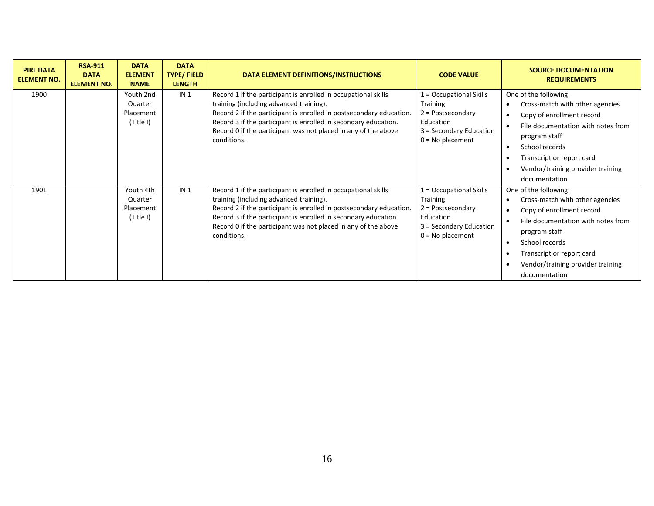| <b>PIRL DATA</b><br><b>ELEMENT NO.</b> | <b>RSA-911</b><br><b>DATA</b><br><b>ELEMENT NO.</b> | <b>DATA</b><br><b>ELEMENT</b><br><b>NAME</b>   | <b>DATA</b><br><b>TYPE/FIELD</b><br><b>LENGTH</b> | DATA ELEMENT DEFINITIONS/INSTRUCTIONS                                                                                                                                                                                                                                                                                                | <b>CODE VALUE</b>                                                                                                        | <b>SOURCE DOCUMENTATION</b><br><b>REQUIREMENTS</b>                                                                                                                                                                                                             |
|----------------------------------------|-----------------------------------------------------|------------------------------------------------|---------------------------------------------------|--------------------------------------------------------------------------------------------------------------------------------------------------------------------------------------------------------------------------------------------------------------------------------------------------------------------------------------|--------------------------------------------------------------------------------------------------------------------------|----------------------------------------------------------------------------------------------------------------------------------------------------------------------------------------------------------------------------------------------------------------|
| 1900                                   |                                                     | Youth 2nd<br>Quarter<br>Placement<br>(Title I) | IN <sub>1</sub>                                   | Record 1 if the participant is enrolled in occupational skills<br>training (including advanced training).<br>Record 2 if the participant is enrolled in postsecondary education.<br>Record 3 if the participant is enrolled in secondary education.<br>Record 0 if the participant was not placed in any of the above<br>conditions. | 1 = Occupational Skills<br>Training<br>$2 = Postsecondary$<br>Education<br>3 = Secondary Education<br>$0 = No$ placement | One of the following:<br>Cross-match with other agencies<br>Copy of enrollment record<br>File documentation with notes from<br>program staff<br>School records<br>$\bullet$<br>Transcript or report card<br>Vendor/training provider training<br>documentation |
| 1901                                   |                                                     | Youth 4th<br>Quarter<br>Placement<br>(Title I) | IN <sub>1</sub>                                   | Record 1 if the participant is enrolled in occupational skills<br>training (including advanced training).<br>Record 2 if the participant is enrolled in postsecondary education.<br>Record 3 if the participant is enrolled in secondary education.<br>Record 0 if the participant was not placed in any of the above<br>conditions. | 1 = Occupational Skills<br>Training<br>$2 = Postsecondary$<br>Education<br>3 = Secondary Education<br>$0 = No$ placement | One of the following:<br>Cross-match with other agencies<br>Copy of enrollment record<br>File documentation with notes from<br>program staff<br>School records<br>Transcript or report card<br>Vendor/training provider training<br>documentation              |